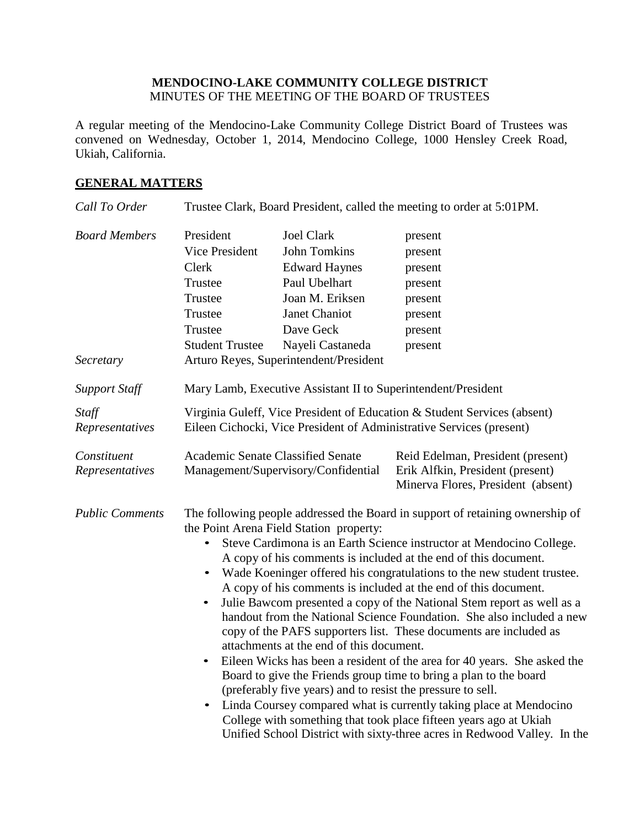#### **MENDOCINO-LAKE COMMUNITY COLLEGE DISTRICT** MINUTES OF THE MEETING OF THE BOARD OF TRUSTEES

A regular meeting of the Mendocino-Lake Community College District Board of Trustees was convened on Wednesday, October 1, 2014, Mendocino College, 1000 Hensley Creek Road, Ukiah, California.

#### **GENERAL MATTERS**

| Call To Order                     | Trustee Clark, Board President, called the meeting to order at 5:01PM.                                                                                                                                                                                                                                                                                                                                                                                                                                                                                                                                                                                                                                                                                                                                                                                                                                                                                                                                                                                                                                                                                               |                                                                                                                                                                                                  |                                                                                                             |
|-----------------------------------|----------------------------------------------------------------------------------------------------------------------------------------------------------------------------------------------------------------------------------------------------------------------------------------------------------------------------------------------------------------------------------------------------------------------------------------------------------------------------------------------------------------------------------------------------------------------------------------------------------------------------------------------------------------------------------------------------------------------------------------------------------------------------------------------------------------------------------------------------------------------------------------------------------------------------------------------------------------------------------------------------------------------------------------------------------------------------------------------------------------------------------------------------------------------|--------------------------------------------------------------------------------------------------------------------------------------------------------------------------------------------------|-------------------------------------------------------------------------------------------------------------|
| <b>Board Members</b><br>Secretary | President<br>Vice President<br>Clerk<br>Trustee<br>Trustee<br>Trustee<br>Trustee<br><b>Student Trustee</b>                                                                                                                                                                                                                                                                                                                                                                                                                                                                                                                                                                                                                                                                                                                                                                                                                                                                                                                                                                                                                                                           | <b>Joel Clark</b><br><b>John Tomkins</b><br><b>Edward Haynes</b><br>Paul Ubelhart<br>Joan M. Eriksen<br>Janet Chaniot<br>Dave Geck<br>Nayeli Castaneda<br>Arturo Reyes, Superintendent/President | present<br>present<br>present<br>present<br>present<br>present<br>present<br>present                        |
| <b>Support Staff</b>              | Mary Lamb, Executive Assistant II to Superintendent/President                                                                                                                                                                                                                                                                                                                                                                                                                                                                                                                                                                                                                                                                                                                                                                                                                                                                                                                                                                                                                                                                                                        |                                                                                                                                                                                                  |                                                                                                             |
| Staff<br>Representatives          | Virginia Guleff, Vice President of Education & Student Services (absent)<br>Eileen Cichocki, Vice President of Administrative Services (present)                                                                                                                                                                                                                                                                                                                                                                                                                                                                                                                                                                                                                                                                                                                                                                                                                                                                                                                                                                                                                     |                                                                                                                                                                                                  |                                                                                                             |
| Constituent<br>Representatives    | <b>Academic Senate Classified Senate</b>                                                                                                                                                                                                                                                                                                                                                                                                                                                                                                                                                                                                                                                                                                                                                                                                                                                                                                                                                                                                                                                                                                                             | Management/Supervisory/Confidential                                                                                                                                                              | Reid Edelman, President (present)<br>Erik Alfkin, President (present)<br>Minerva Flores, President (absent) |
| <b>Public Comments</b>            | The following people addressed the Board in support of retaining ownership of<br>the Point Arena Field Station property:<br>Steve Cardimona is an Earth Science instructor at Mendocino College.<br>$\bullet$<br>A copy of his comments is included at the end of this document.<br>• Wade Koeninger offered his congratulations to the new student trustee.<br>A copy of his comments is included at the end of this document.<br>Julie Bawcom presented a copy of the National Stem report as well as a<br>handout from the National Science Foundation. She also included a new<br>copy of the PAFS supporters list. These documents are included as<br>attachments at the end of this document.<br>Eileen Wicks has been a resident of the area for 40 years. She asked the<br>$\bullet$<br>Board to give the Friends group time to bring a plan to the board<br>(preferably five years) and to resist the pressure to sell.<br>Linda Coursey compared what is currently taking place at Mendocino<br>$\bullet$<br>College with something that took place fifteen years ago at Ukiah<br>Unified School District with sixty-three acres in Redwood Valley. In the |                                                                                                                                                                                                  |                                                                                                             |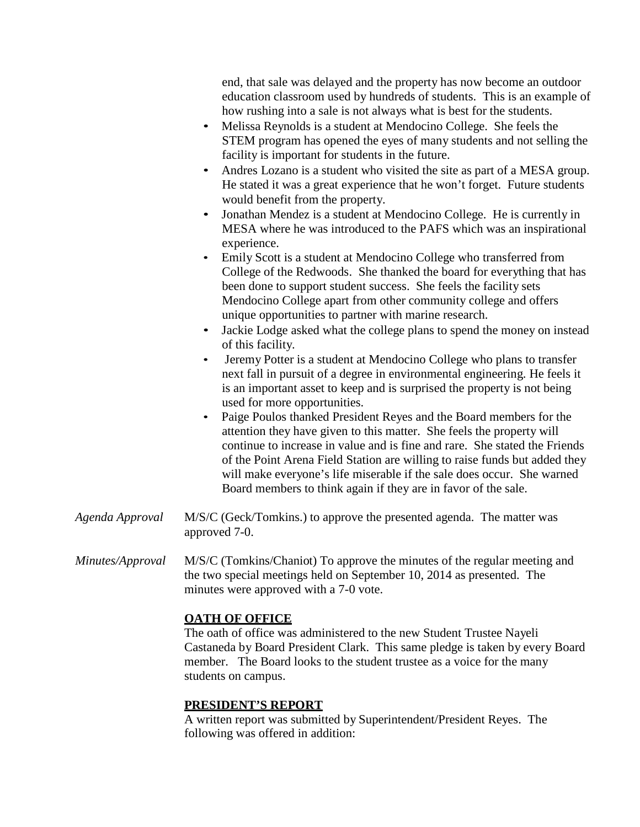end, that sale was delayed and the property has now become an outdoor education classroom used by hundreds of students. This is an example of how rushing into a sale is not always what is best for the students.

- Melissa Reynolds is a student at Mendocino College. She feels the STEM program has opened the eyes of many students and not selling the facility is important for students in the future.
- Andres Lozano is a student who visited the site as part of a MESA group. He stated it was a great experience that he won't forget. Future students would benefit from the property.
- Jonathan Mendez is a student at Mendocino College. He is currently in MESA where he was introduced to the PAFS which was an inspirational experience.
- Emily Scott is a student at Mendocino College who transferred from College of the Redwoods. She thanked the board for everything that has been done to support student success. She feels the facility sets Mendocino College apart from other community college and offers unique opportunities to partner with marine research.
- Jackie Lodge asked what the college plans to spend the money on instead of this facility.
- Jeremy Potter is a student at Mendocino College who plans to transfer next fall in pursuit of a degree in environmental engineering. He feels it is an important asset to keep and is surprised the property is not being used for more opportunities.
- Paige Poulos thanked President Reyes and the Board members for the attention they have given to this matter. She feels the property will continue to increase in value and is fine and rare. She stated the Friends of the Point Arena Field Station are willing to raise funds but added they will make everyone's life miserable if the sale does occur. She warned Board members to think again if they are in favor of the sale.
- *Agenda Approval* M/S/C (Geck/Tomkins.) to approve the presented agenda. The matter was approved 7-0.
- *Minutes/Approval* M/S/C (Tomkins/Chaniot) To approve the minutes of the regular meeting and the two special meetings held on September 10, 2014 as presented. The minutes were approved with a 7-0 vote.

#### **OATH OF OFFICE**

The oath of office was administered to the new Student Trustee Nayeli Castaneda by Board President Clark. This same pledge is taken by every Board member. The Board looks to the student trustee as a voice for the many students on campus.

#### **PRESIDENT'S REPORT**

A written report was submitted by Superintendent/President Reyes. The following was offered in addition: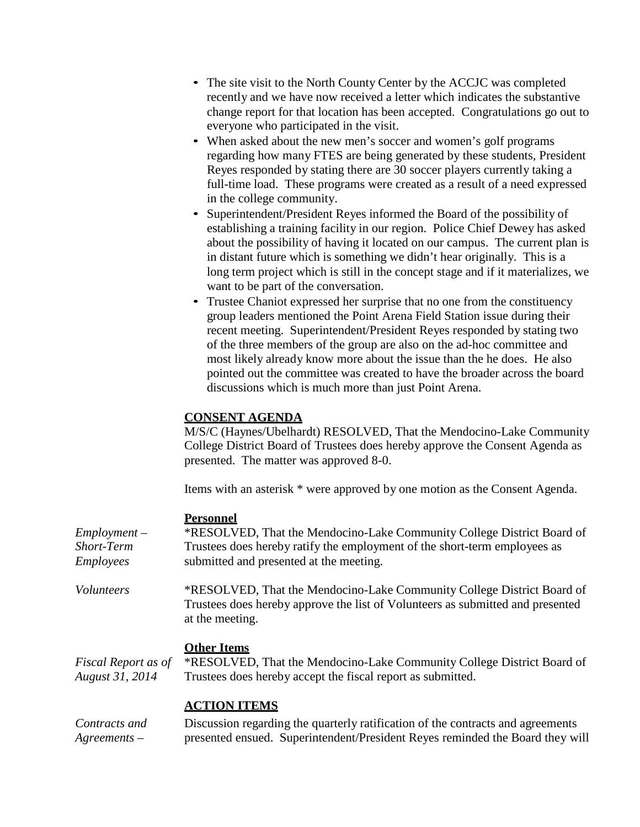- The site visit to the North County Center by the ACCJC was completed recently and we have now received a letter which indicates the substantive change report for that location has been accepted. Congratulations go out to everyone who participated in the visit.
- When asked about the new men's soccer and women's golf programs regarding how many FTES are being generated by these students, President Reyes responded by stating there are 30 soccer players currently taking a full-time load. These programs were created as a result of a need expressed in the college community.
- Superintendent/President Reyes informed the Board of the possibility of establishing a training facility in our region. Police Chief Dewey has asked about the possibility of having it located on our campus. The current plan is in distant future which is something we didn't hear originally. This is a long term project which is still in the concept stage and if it materializes, we want to be part of the conversation.
- Trustee Chaniot expressed her surprise that no one from the constituency group leaders mentioned the Point Arena Field Station issue during their recent meeting. Superintendent/President Reyes responded by stating two of the three members of the group are also on the ad-hoc committee and most likely already know more about the issue than the he does. He also pointed out the committee was created to have the broader across the board discussions which is much more than just Point Arena.

#### **CONSENT AGENDA**

M/S/C (Haynes/Ubelhardt) RESOLVED, That the Mendocino-Lake Community College District Board of Trustees does hereby approve the Consent Agenda as presented. The matter was approved 8-0.

Items with an asterisk \* were approved by one motion as the Consent Agenda.

presented ensued. Superintendent/President Reyes reminded the Board they will

#### **Personnel**

*Agreements –*

| $Employment -$<br>Short-Term<br><i>Employees</i> | *RESOLVED, That the Mendocino-Lake Community College District Board of<br>Trustees does hereby ratify the employment of the short-term employees as<br>submitted and presented at the meeting. |
|--------------------------------------------------|------------------------------------------------------------------------------------------------------------------------------------------------------------------------------------------------|
| <i>Volunteers</i>                                | *RESOLVED, That the Mendocino-Lake Community College District Board of<br>Trustees does hereby approve the list of Volunteers as submitted and presented<br>at the meeting.                    |
| Fiscal Report as of<br>August 31, 2014           | <b>Other Items</b><br>*RESOLVED, That the Mendocino-Lake Community College District Board of<br>Trustees does hereby accept the fiscal report as submitted.                                    |
| Contracts and                                    | <b>ACTION ITEMS</b><br>Discussion regarding the quarterly ratification of the contracts and agreements                                                                                         |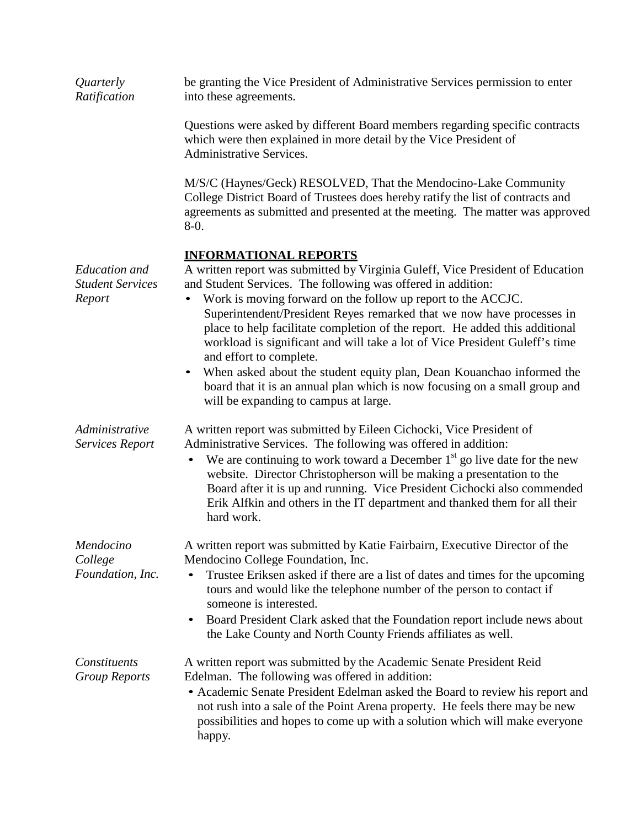| Quarterly<br>Ratification                                 | be granting the Vice President of Administrative Services permission to enter<br>into these agreements.                                                                                                                                                                                                                                                                                                                                                                                                                                                                                                                                                                                                                       |
|-----------------------------------------------------------|-------------------------------------------------------------------------------------------------------------------------------------------------------------------------------------------------------------------------------------------------------------------------------------------------------------------------------------------------------------------------------------------------------------------------------------------------------------------------------------------------------------------------------------------------------------------------------------------------------------------------------------------------------------------------------------------------------------------------------|
|                                                           | Questions were asked by different Board members regarding specific contracts<br>which were then explained in more detail by the Vice President of<br><b>Administrative Services.</b>                                                                                                                                                                                                                                                                                                                                                                                                                                                                                                                                          |
|                                                           | M/S/C (Haynes/Geck) RESOLVED, That the Mendocino-Lake Community<br>College District Board of Trustees does hereby ratify the list of contracts and<br>agreements as submitted and presented at the meeting. The matter was approved<br>$8-0.$                                                                                                                                                                                                                                                                                                                                                                                                                                                                                 |
| <b>Education</b> and<br><b>Student Services</b><br>Report | <b>INFORMATIONAL REPORTS</b><br>A written report was submitted by Virginia Guleff, Vice President of Education<br>and Student Services. The following was offered in addition:<br>Work is moving forward on the follow up report to the ACCJC.<br>$\bullet$<br>Superintendent/President Reyes remarked that we now have processes in<br>place to help facilitate completion of the report. He added this additional<br>workload is significant and will take a lot of Vice President Guleff's time<br>and effort to complete.<br>When asked about the student equity plan, Dean Kouanchao informed the<br>board that it is an annual plan which is now focusing on a small group and<br>will be expanding to campus at large. |
| Administrative<br>Services Report                         | A written report was submitted by Eileen Cichocki, Vice President of<br>Administrative Services. The following was offered in addition:<br>We are continuing to work toward a December $1st$ go live date for the new<br>website. Director Christopherson will be making a presentation to the<br>Board after it is up and running. Vice President Cichocki also commended<br>Erik Alfkin and others in the IT department and thanked them for all their<br>hard work.                                                                                                                                                                                                                                                        |
| Mendocino<br>College<br>Foundation, Inc.                  | A written report was submitted by Katie Fairbairn, Executive Director of the<br>Mendocino College Foundation, Inc.<br>Trustee Eriksen asked if there are a list of dates and times for the upcoming<br>tours and would like the telephone number of the person to contact if<br>someone is interested.<br>Board President Clark asked that the Foundation report include news about<br>$\bullet$<br>the Lake County and North County Friends affiliates as well.                                                                                                                                                                                                                                                              |
| Constituents<br><b>Group Reports</b>                      | A written report was submitted by the Academic Senate President Reid<br>Edelman. The following was offered in addition:<br>• Academic Senate President Edelman asked the Board to review his report and<br>not rush into a sale of the Point Arena property. He feels there may be new<br>possibilities and hopes to come up with a solution which will make everyone<br>happy.                                                                                                                                                                                                                                                                                                                                               |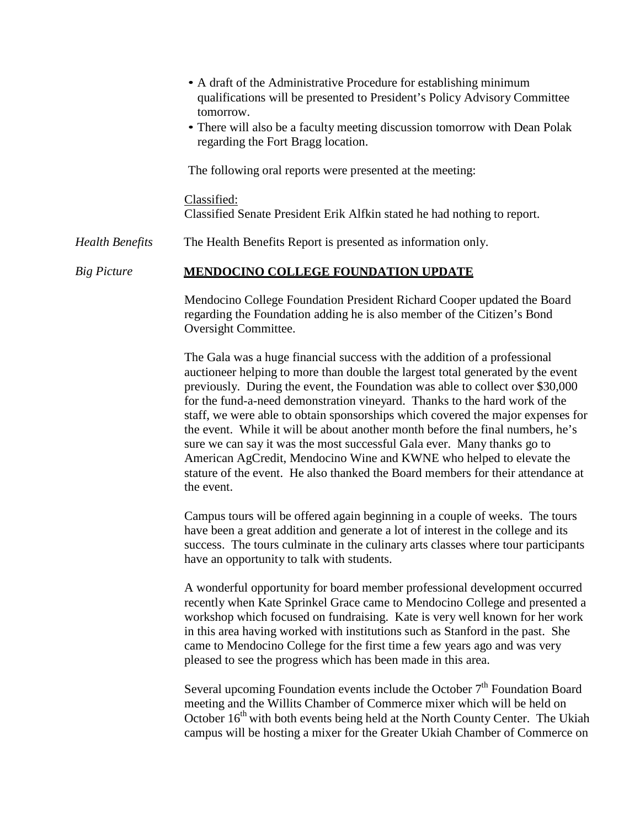|                        | • A draft of the Administrative Procedure for establishing minimum<br>qualifications will be presented to President's Policy Advisory Committee<br>tomorrow.<br>• There will also be a faculty meeting discussion tomorrow with Dean Polak<br>regarding the Fort Bragg location.                                                                                                                                                                                                                                                                                                                                                                                                                                                                      |
|------------------------|-------------------------------------------------------------------------------------------------------------------------------------------------------------------------------------------------------------------------------------------------------------------------------------------------------------------------------------------------------------------------------------------------------------------------------------------------------------------------------------------------------------------------------------------------------------------------------------------------------------------------------------------------------------------------------------------------------------------------------------------------------|
|                        | The following oral reports were presented at the meeting:                                                                                                                                                                                                                                                                                                                                                                                                                                                                                                                                                                                                                                                                                             |
|                        | Classified:<br>Classified Senate President Erik Alfkin stated he had nothing to report.                                                                                                                                                                                                                                                                                                                                                                                                                                                                                                                                                                                                                                                               |
| <b>Health Benefits</b> | The Health Benefits Report is presented as information only.                                                                                                                                                                                                                                                                                                                                                                                                                                                                                                                                                                                                                                                                                          |
| <b>Big Picture</b>     | <b>MENDOCINO COLLEGE FOUNDATION UPDATE</b>                                                                                                                                                                                                                                                                                                                                                                                                                                                                                                                                                                                                                                                                                                            |
|                        | Mendocino College Foundation President Richard Cooper updated the Board<br>regarding the Foundation adding he is also member of the Citizen's Bond<br>Oversight Committee.                                                                                                                                                                                                                                                                                                                                                                                                                                                                                                                                                                            |
|                        | The Gala was a huge financial success with the addition of a professional<br>auctioneer helping to more than double the largest total generated by the event<br>previously. During the event, the Foundation was able to collect over \$30,000<br>for the fund-a-need demonstration vineyard. Thanks to the hard work of the<br>staff, we were able to obtain sponsorships which covered the major expenses for<br>the event. While it will be about another month before the final numbers, he's<br>sure we can say it was the most successful Gala ever. Many thanks go to<br>American AgCredit, Mendocino Wine and KWNE who helped to elevate the<br>stature of the event. He also thanked the Board members for their attendance at<br>the event. |
|                        | Campus tours will be offered again beginning in a couple of weeks. The tours<br>have been a great addition and generate a lot of interest in the college and its<br>success. The tours culminate in the culinary arts classes where tour participants<br>have an opportunity to talk with students.                                                                                                                                                                                                                                                                                                                                                                                                                                                   |
|                        | A wonderful opportunity for board member professional development occurred<br>recently when Kate Sprinkel Grace came to Mendocino College and presented a<br>workshop which focused on fundraising. Kate is very well known for her work<br>in this area having worked with institutions such as Stanford in the past. She<br>came to Mendocino College for the first time a few years ago and was very<br>pleased to see the progress which has been made in this area.                                                                                                                                                                                                                                                                              |
|                        | Several upcoming Foundation events include the October $7th$ Foundation Board                                                                                                                                                                                                                                                                                                                                                                                                                                                                                                                                                                                                                                                                         |

meeting and the Willits Chamber of Commerce mixer which will be held on October 16<sup>th</sup> with both events being held at the North County Center. The Ukiah campus will be hosting a mixer for the Greater Ukiah Chamber of Commerce on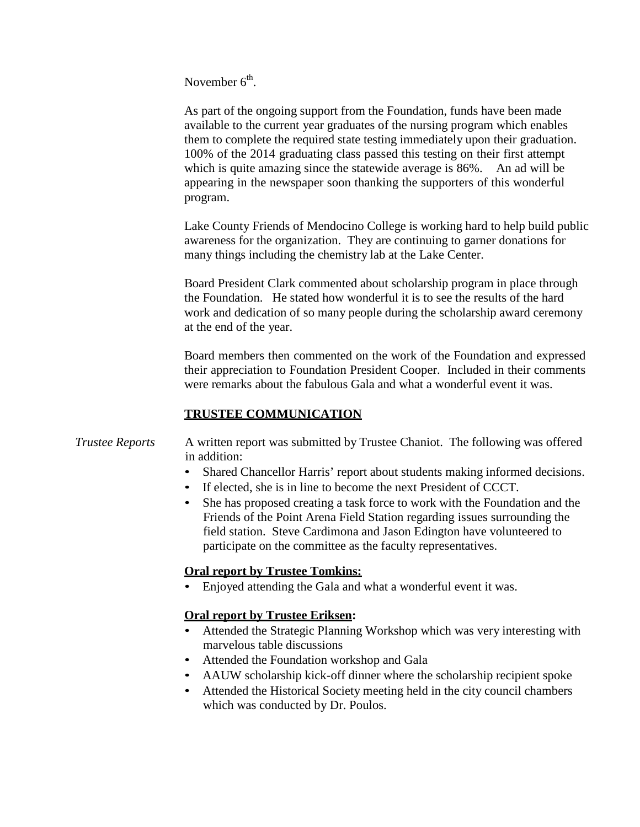November  $6<sup>th</sup>$ .

As part of the ongoing support from the Foundation, funds have been made available to the current year graduates of the nursing program which enables them to complete the required state testing immediately upon their graduation. 100% of the 2014 graduating class passed this testing on their first attempt which is quite amazing since the statewide average is 86%. An ad will be appearing in the newspaper soon thanking the supporters of this wonderful program.

Lake County Friends of Mendocino College is working hard to help build public awareness for the organization. They are continuing to garner donations for many things including the chemistry lab at the Lake Center.

Board President Clark commented about scholarship program in place through the Foundation. He stated how wonderful it is to see the results of the hard work and dedication of so many people during the scholarship award ceremony at the end of the year.

Board members then commented on the work of the Foundation and expressed their appreciation to Foundation President Cooper. Included in their comments were remarks about the fabulous Gala and what a wonderful event it was.

#### **TRUSTEE COMMUNICATION**

#### *Trustee Reports* A written report was submitted by Trustee Chaniot. The following was offered in addition:

- Shared Chancellor Harris' report about students making informed decisions.
- If elected, she is in line to become the next President of CCCT.
- She has proposed creating a task force to work with the Foundation and the Friends of the Point Arena Field Station regarding issues surrounding the field station. Steve Cardimona and Jason Edington have volunteered to participate on the committee as the faculty representatives.

#### **Oral report by Trustee Tomkins:**

• Enjoyed attending the Gala and what a wonderful event it was.

#### **Oral report by Trustee Eriksen:**

- Attended the Strategic Planning Workshop which was very interesting with marvelous table discussions
- Attended the Foundation workshop and Gala
- AAUW scholarship kick-off dinner where the scholarship recipient spoke
- Attended the Historical Society meeting held in the city council chambers which was conducted by Dr. Poulos.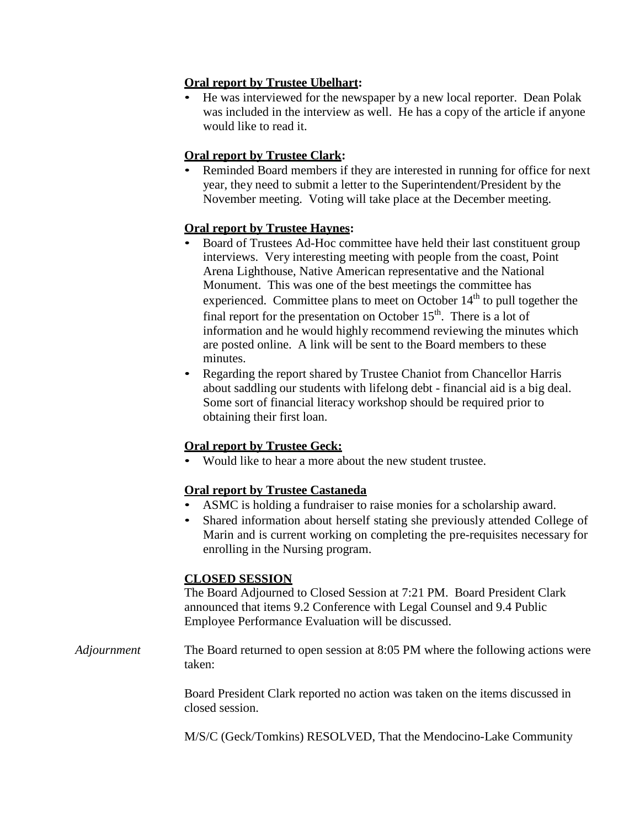#### **Oral report by Trustee Ubelhart:**

• He was interviewed for the newspaper by a new local reporter. Dean Polak was included in the interview as well. He has a copy of the article if anyone would like to read it.

# **Oral report by Trustee Clark:**

• Reminded Board members if they are interested in running for office for next year, they need to submit a letter to the Superintendent/President by the November meeting. Voting will take place at the December meeting.

## **Oral report by Trustee Haynes:**

- Board of Trustees Ad-Hoc committee have held their last constituent group interviews. Very interesting meeting with people from the coast, Point Arena Lighthouse, Native American representative and the National Monument. This was one of the best meetings the committee has experienced. Committee plans to meet on October  $14<sup>th</sup>$  to pull together the final report for the presentation on October  $15<sup>th</sup>$ . There is a lot of information and he would highly recommend reviewing the minutes which are posted online. A link will be sent to the Board members to these minutes.
- Regarding the report shared by Trustee Chaniot from Chancellor Harris about saddling our students with lifelong debt - financial aid is a big deal. Some sort of financial literacy workshop should be required prior to obtaining their first loan.

# **Oral report by Trustee Geck:**

• Would like to hear a more about the new student trustee.

#### **Oral report by Trustee Castaneda**

- ASMC is holding a fundraiser to raise monies for a scholarship award.
- Shared information about herself stating she previously attended College of Marin and is current working on completing the pre-requisites necessary for enrolling in the Nursing program.

#### **CLOSED SESSION**

The Board Adjourned to Closed Session at 7:21 PM. Board President Clark announced that items 9.2 Conference with Legal Counsel and 9.4 Public Employee Performance Evaluation will be discussed.

#### *Adjournment* The Board returned to open session at 8:05 PM where the following actions were taken:

Board President Clark reported no action was taken on the items discussed in closed session.

M/S/C (Geck/Tomkins) RESOLVED, That the Mendocino-Lake Community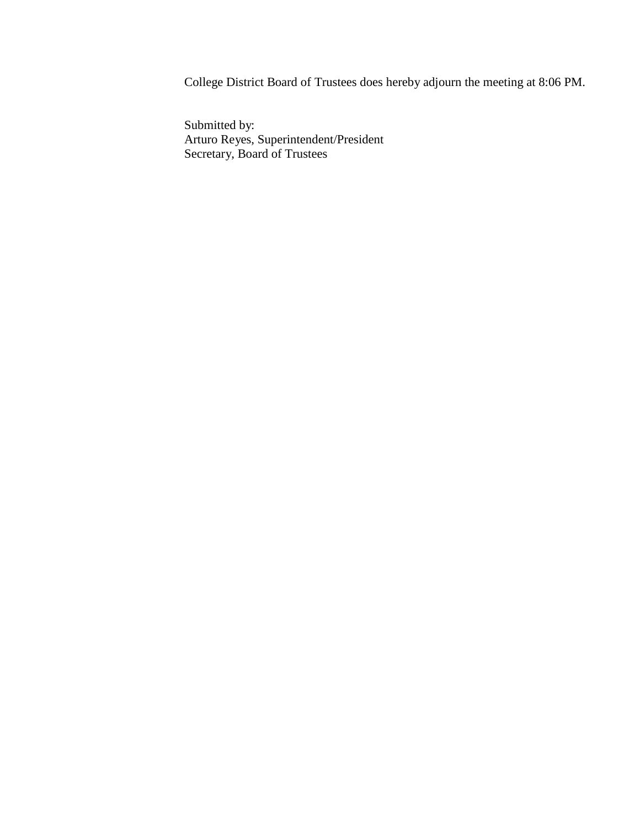College District Board of Trustees does hereby adjourn the meeting at 8:06 PM.

Submitted by: Arturo Reyes, Superintendent/President Secretary, Board of Trustees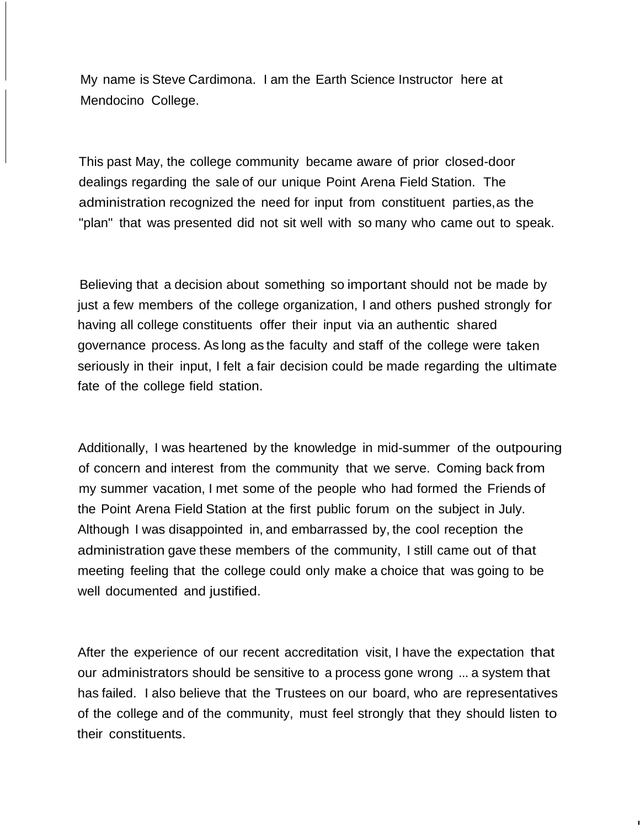My name is Steve Cardimona. I am the Earth Science Instructor here at Mendocino College.

This past May, the college community became aware of prior closed-door dealings regarding the sale of our unique Point Arena Field Station. The administration recognized the need for input from constituent parties,as the "plan" that was presented did not sit well with so many who came out to speak.

Believing that a decision about something so important should not be made by just a few members of the college organization, I and others pushed strongly for having all college constituents offer their input via an authentic shared governance process. As long as the faculty and staff of the college were taken seriously in their input, I felt a fair decision could be made regarding the ultimate fate of the college field station.

Additionally, I was heartened by the knowledge in mid-summer of the outpouring of concern and interest from the community that we serve. Coming back from my summer vacation, I met some of the people who had formed the Friends of the Point Arena Field Station at the first public forum on the subject in July. Although I was disappointed in, and embarrassed by, the cool reception the administration gave these members of the community, I still came out of that meeting feeling that the college could only make a choice that was going to be well documented and justified.

After the experience of our recent accreditation visit, I have the expectation that our administrators should be sensitive to a process gone wrong ... a system that has failed. I also believe that the Trustees on our board, who are representatives of the college and of the community, must feel strongly that they should listen to their constituents.

I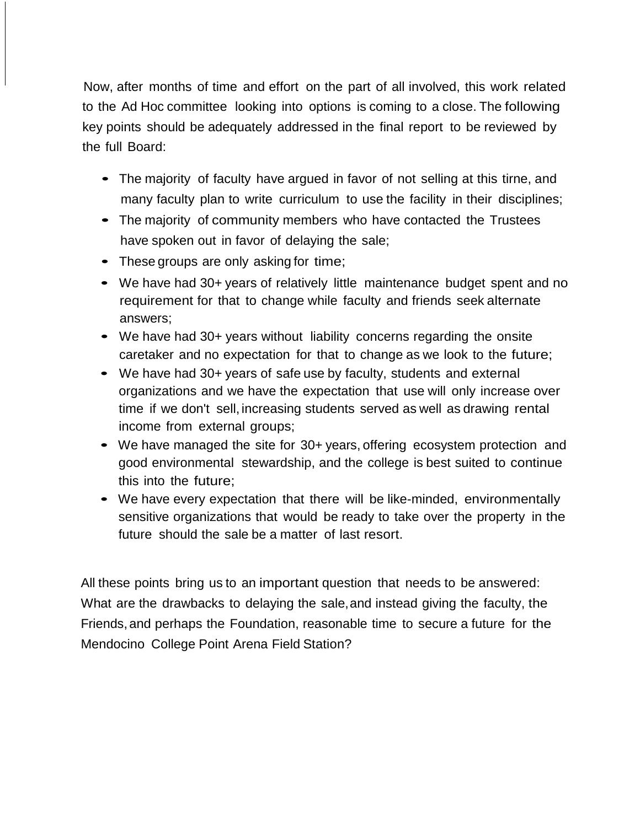Now, after months of time and effort on the part of all involved, this work related to the Ad Hoc committee looking into options is coming to a close. The following key points should be adequately addressed in the final report to be reviewed by the full Board:

- The majority of faculty have argued in favor of not selling at this tirne, and many faculty plan to write curriculum to use the facility in their disciplines;
- The majority of community members who have contacted the Trustees have spoken out in favor of delaying the sale;
- These groups are only asking for time;
- We have had 30+ years of relatively little maintenance budget spent and no requirement for that to change while faculty and friends seek alternate answers;
- We have had 30+ years without liability concerns regarding the onsite caretaker and no expectation for that to change as we look to the future;
- We have had 30+ years of safe use by faculty, students and external organizations and we have the expectation that use will only increase over time if we don't sell, increasing students served as well as drawing rental income from external groups;
- We have managed the site for 30+ years, offering ecosystem protection and good environmental stewardship, and the college is best suited to continue this into the future;
- We have every expectation that there will be like-minded, environmentally sensitive organizations that would be ready to take over the property in the future should the sale be a matter of last resort.

All these points bring us to an important question that needs to be answered: What are the drawbacks to delaying the sale,and instead giving the faculty, the Friends, and perhaps the Foundation, reasonable time to secure a future for the Mendocino College Point Arena Field Station?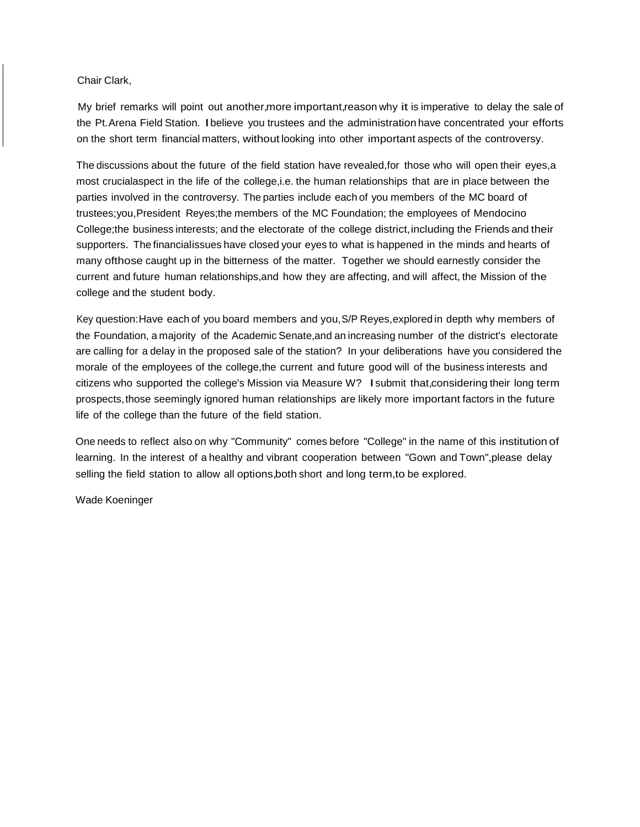#### Chair Clark,

My brief remarks will point out another,more important,reason why it is imperative to delay the sale of the Pt.Arena Field Station. Ibelieve you trustees and the administration have concentrated your efforts on the short term financial matters, without looking into other important aspects of the controversy.

The discussions about the future of the field station have revealed,for those who will open their eyes,a most crucialaspect in the life of the college,i.e. the human relationships that are in place between the parties involved in the controversy. The parties include each of you members of the MC board of trustees;you,President Reyes;the members of the MC Foundation; the employees of Mendocino College;the business interests; and the electorate of the college district,including the Friends and their supporters. The financialissues have closed your eyes to what is happened in the minds and hearts of many ofthose caught up in the bitterness of the matter. Together we should earnestly consider the current and future human relationships,and how they are affecting, and will affect, the Mission of the college and the student body.

Key question:Have each of you board members and you,S/P Reyes,explored in depth why members of the Foundation, a majority of the Academic Senate,and an increasing number of the district's electorate are calling for a delay in the proposed sale of the station? In your deliberations have you considered the morale of the employees of the college,the current and future good will of the business interests and citizens who supported the college's Mission via Measure W? Isubmit that,considering their long term prospects,those seemingly ignored human relationships are likely more important factors in the future life of the college than the future of the field station.

One needs to reflect also on why "Community" comes before "College" in the name of this institution of learning. In the interest of a healthy and vibrant cooperation between "Gown and Town",please delay selling the field station to allow all options,both short and long term,to be explored.

Wade Koeninger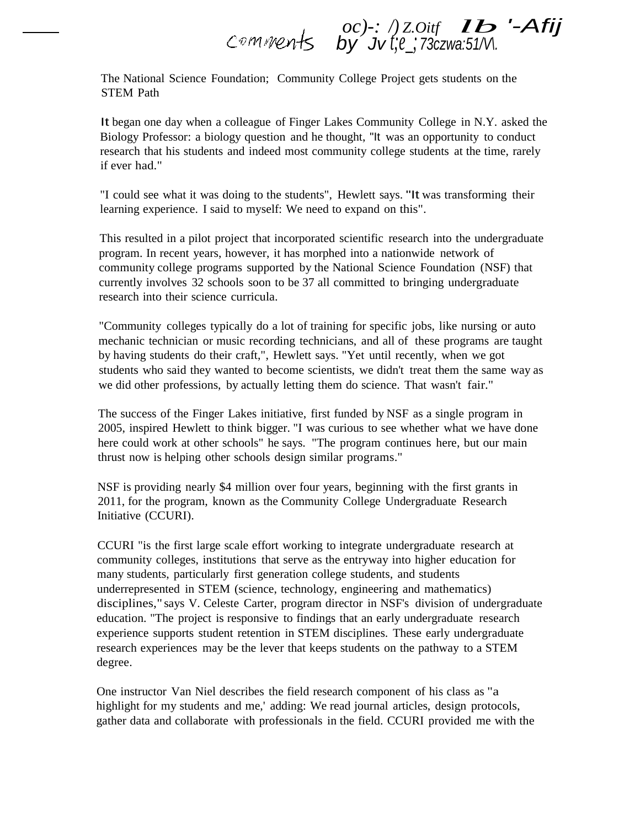# *oc)-: /) Z.Oitf lb '-Afij by Jv t;e\_; 73czwa:51/V\.*

The National Science Foundation; Community College Project gets students on the STEM Path

It began one day when a colleague of Finger Lakes Community College in N.Y. asked the Biology Professor: a biology question and he thought, "It was an opportunity to conduct research that his students and indeed most community college students at the time, rarely if ever had."

"I could see what it was doing to the students", Hewlett says. "It was transforming their learning experience. I said to myself: We need to expand on this".

This resulted in a pilot project that incorporated scientific research into the undergraduate program. In recent years, however, it has morphed into a nationwide network of community college programs supported by the National Science Foundation (NSF) that currently involves 32 schools soon to be 37 all committed to bringing undergraduate research into their science curricula.

"Community colleges typically do a lot of training for specific jobs, like nursing or auto mechanic technician or music recording technicians, and all of these programs are taught by having students do their craft,", Hewlett says. "Yet until recently, when we got students who said they wanted to become scientists, we didn't treat them the same way as we did other professions, by actually letting them do science. That wasn't fair."

The success of the Finger Lakes initiative, first funded by NSF as a single program in 2005, inspired Hewlett to think bigger. "I was curious to see whether what we have done here could work at other schools" he says. "The program continues here, but our main thrust now is helping other schools design similar programs."

NSF is providing nearly \$4 million over four years, beginning with the first grants in 2011, for the program, known as the Community College Undergraduate Research Initiative (CCURI).

CCURI "is the first large scale effort working to integrate undergraduate research at community colleges, institutions that serve as the entryway into higher education for many students, particularly first generation college students, and students underrepresented in STEM (science, technology, engineering and mathematics) disciplines," says V. Celeste Carter, program director in NSF's division of undergraduate education. "The project is responsive to findings that an early undergraduate research experience supports student retention in STEM disciplines. These early undergraduate research experiences may be the lever that keeps students on the pathway to a STEM degree.

One instructor Van Niel describes the field research component of his class as "a highlight for my students and me,' adding: We read journal articles, design protocols, gather data and collaborate with professionals in the field. CCURI provided me with the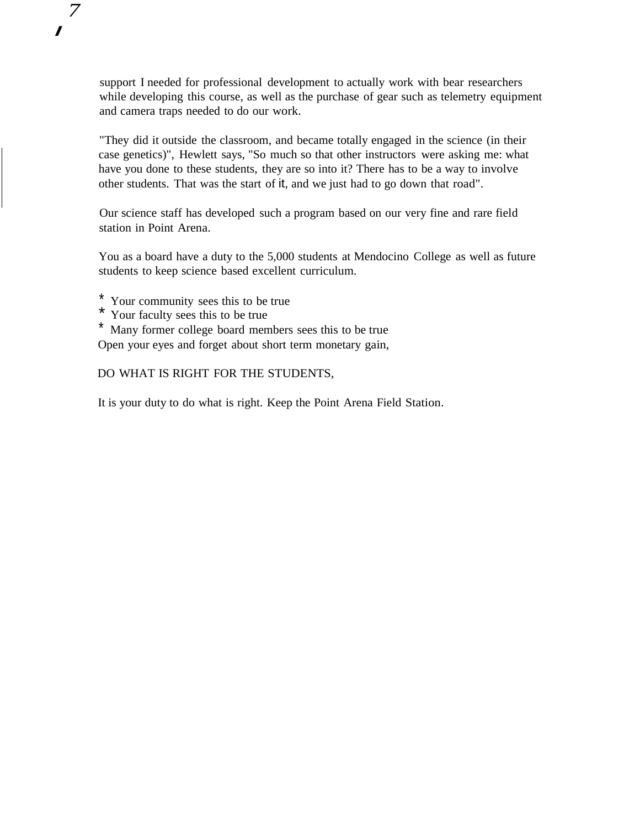support I needed for professional development to actually work with bear researchers while developing this course, as well as the purchase of gear such as telemetry equipment and camera traps needed to do our work.

"They did it outside the classroom, and became totally engaged in the science (in their case genetics)", Hewlett says, "So much so that other instructors were asking me: what have you done to these students, they are so into it? There has to be a way to involve other students. That was the start of it, and we just had to go down that road".

Our science staff has developed such a program based on our very fine and rare field station in Point Arena.

You as a board have a duty to the 5,000 students at Mendocino College as well as future students to keep science based excellent curriculum.

- \* Your community sees this to be true
- \* Your faculty sees this to be true

*7*

*I*

\* Many former college board members sees this to be true Open your eyes and forget about short term monetary gain,

#### DO WHAT IS RIGHT FOR THE STUDENTS,

It is your duty to do what is right. Keep the Point Arena Field Station.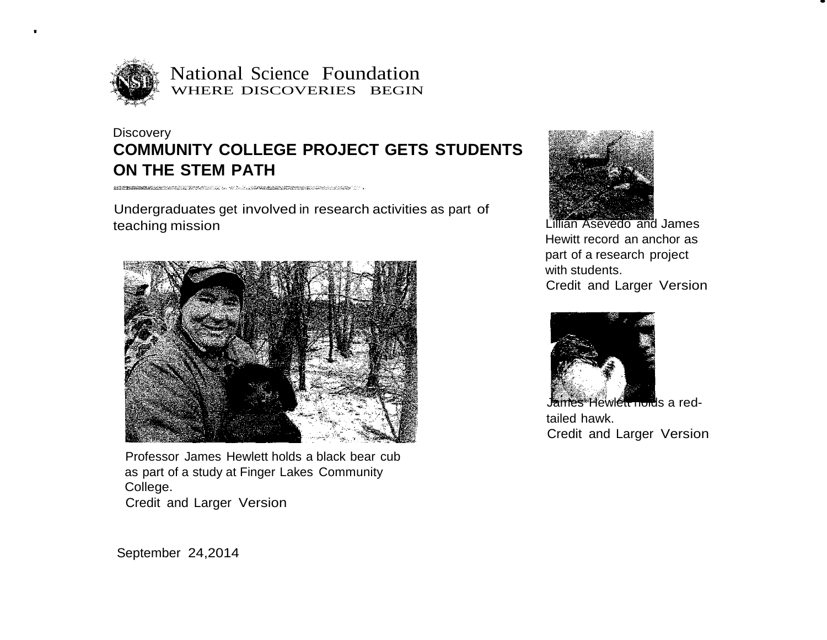

'

National Science Foundation WHERE DISCOVERIES BEGIN

# **Discovery COMMUNITY COLLEGE PROJECT GETS STUDENTS ON THE STEM PATH**

 $\begin{minipage}{0.9\linewidth} \begin{minipage}{0.9\linewidth} \end{minipage} \begin{minipage}{0.9\linewidth} \begin{minipage}{0.9\linewidth} \end{minipage} \begin{minipage}{0.9\linewidth} \end{minipage} \begin{minipage}{0.9\linewidth} \end{minipage} \begin{minipage}{0.9\linewidth} \end{minipage} \begin{minipage}{0.9\linewidth} \end{minipage} \begin{minipage}{0.9\linewidth} \end{minipage} \begin{minipage}{0.9\linewidth} \end{minipage} \begin{minipage}{0.9\linewidth} \end{minipage} \begin{minipage}{0.9\linewidth} \$ 

Undergraduates get involved in research activities as part of teaching mission



Professor James Hewlett holds a black bear cub as part of a study at Finger Lakes Community College. Credit and Larger Version



Lillian Asevedo and James Hewitt record an anchor as part of a research project with students. Credit and Larger Version •



es Hewlett holds a redtailed hawk. Credit and Larger Version

September 24,2014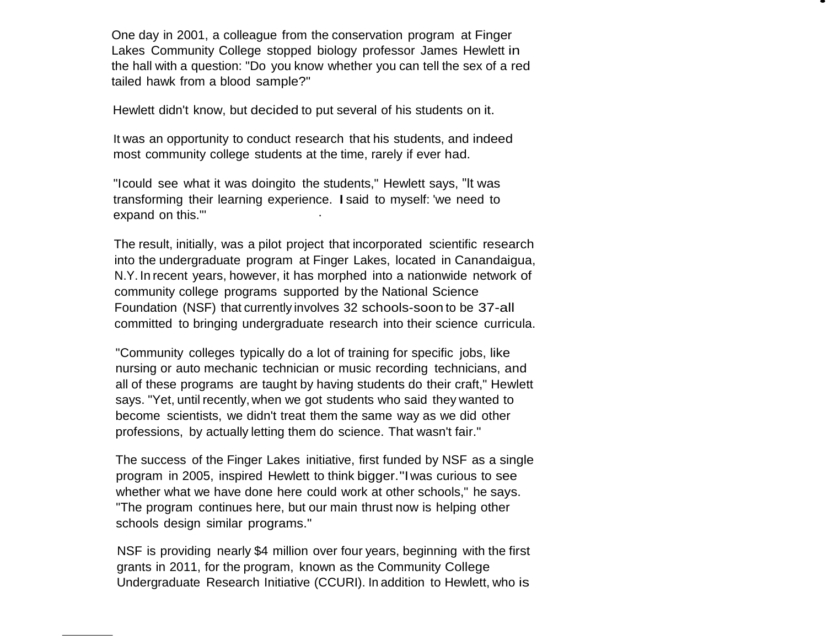One day in 2001, a colleague from the conservation program at Finger Lakes Community College stopped biology professor James Hewlett in the hall with a question: "Do you know whether you can tell the sex of a red tailed hawk from a blood sample?"

•

Hewlett didn't know, but decided to put several of his students on it.

It was an opportunity to conduct research that his students, and indeed most community college students at the time, rarely if ever had.

"Icould see what it was doingito the students," Hewlett says, "It was transforming their learning experience. Isaid to myself: 'we need to expand on this."' ·

The result, initially, was a pilot project that incorporated scientific research into the undergraduate program at Finger Lakes, located in Canandaigua, N.Y. In recent years, however, it has morphed into a nationwide network of community college programs supported by the National Science Foundation (NSF) that currently involves 32 schools-soon to be 37-all committed to bringing undergraduate research into their science curricula.

"Community colleges typically do a lot of training for specific jobs, like nursing or auto mechanic technician or music recording technicians, and all of these programs are taught by having students do their craft," Hewlett says. "Yet, until recently, when we got students who said they wanted to become scientists, we didn't treat them the same way as we did other professions, by actually letting them do science. That wasn't fair."

The success of the Finger Lakes initiative, first funded by NSF as a single program in 2005, inspired Hewlett to think bigger ."Iwas curious to see whether what we have done here could work at other schools," he says. "The program continues here, but our main thrust now is helping other schools design similar programs."

NSF is providing nearly \$4 million over four years, beginning with the first grants in 2011, for the program, known as the Community College Undergraduate Research Initiative (CCURI). In addition to Hewlett, who is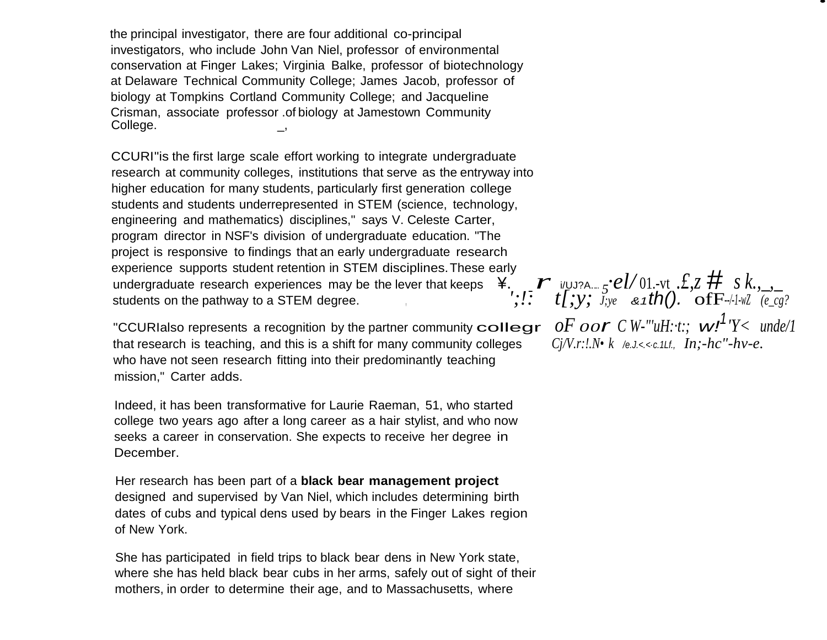the principal investigator, there are four additional co-principal investigators, who include John Van Niel, professor of environmental conservation at Finger Lakes; Virginia Balke, professor of biotechnology at Delaware Technical Community College; James Jacob, professor of biology at Tompkins Cortland Community College; and Jacqueline Crisman, associate professor .of biology at Jamestown Community College.

experience supports student retention in STEM disciplines. These early<br>undergraduate research experiences may be the lever that keeps  $\frac{4}{1}$ ,  $\frac{1}{2}$  *i*/UJ?A.... *5*<sup>•</sup>*el*/01.-vt *.£,z*  $\frac{4}{1}$  *s k.*, \_, CCURI"is the first large scale effort working to integrate undergraduate research at community colleges, institutions that serve as the entryway into higher education for many students, particularly first generation college students and students underrepresented in STEM (science, technology, engineering and mathematics) disciplines," says V. Celeste Carter, program director in NSF's division of undergraduate education. "The project is responsive to findings that an early undergraduate research experience supports student retention in STEM disciplines.These early students on the pathway to a STEM degree.<br> $\frac{1}{2}$ ,  $\frac{1}{2}$ ,  $\frac{1}{2}$ ,  $\frac{1}{2}$ ,  $\frac{1}{2}$ ,  $\frac{1}{2}$ ,  $\frac{1}{2}$ ,  $\frac{1}{2}$ ,  $\frac{1}{2}$ ,  $\frac{1}{2}$ ,  $\frac{1}{2}$ ,  $\frac{1}{2}$ ,  $\frac{1}{2}$ ,  $\frac{1}{2}$ ,  $\frac{1}{2}$ ,  $\frac{1}{2}$ ,  $\frac$ 

"CCURIalso represents a recognition by the partner community  $\text{collegr} \quad \text{of} \quad \text{of} \quad \text{or} \quad \text{C} \quad W$ -"' $uH: t$ ;  $t$ ,  $wT'Y \leq t$ <br>that research is teaching, and this is a shift for many community colleges  $\text{C} \quad i/V.r:l.N \cdot k$  that research is teaching, and this is a shift for many community colleges who have not seen research fitting into their predominantly teaching mission," Carter adds.

Indeed, it has been transformative for Laurie Raeman, 51, who started college two years ago after a long career as a hair stylist, and who now seeks a career in conservation. She expects to receive her degree in December.

Her research has been part of a **black bear management project**  designed and supervised by Van Niel, which includes determining birth dates of cubs and typical dens used by bears in the Finger Lakes region of New York.

She has participated in field trips to black bear dens in New York state, where she has held black bear cubs in her arms, safely out of sight of their mothers, in order to determine their age, and to Massachusetts, where

 $oF$   $oor$   $C$  *W*-"'*uH*: $\cdot$ *t*:;  $w!$ <sup>1</sup>' $Y$   $\lt$   $u$ nde/1

•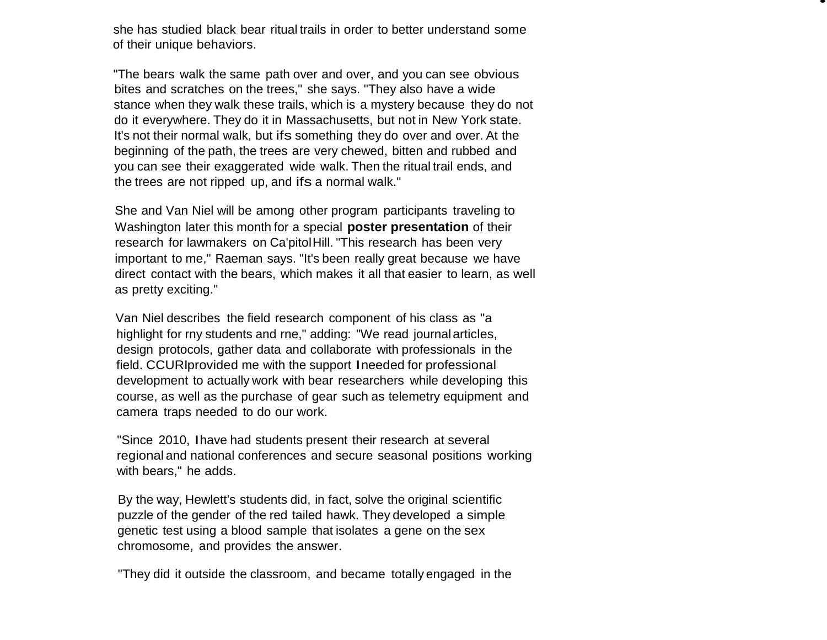she has studied black bear ritual trails in order to better understand some of their unique behaviors.

•

"The bears walk the same path over and over, and you can see obvious bites and scratches on the trees," she says. "They also have a wide stance when they walk these trails, which is a mystery because they do not do it everywhere. They do it in Massachusetts, but not in New York state. It's not their normal walk, but ifs something they do over and over. At the beginning of the path, the trees are very chewed, bitten and rubbed and you can see their exaggerated wide walk. Then the ritual trail ends, and the trees are not ripped up, and if s a normal walk."

She and Van Niel will be among other program participants traveling to Washington later this month for a special **poster presentation** of their research for lawmakers on Ca'pitolHill. "This research has been very important to me," Raeman says. "It's been really great because we have direct contact with the bears, which makes it all that easier to learn, as well as pretty exciting."

Van Niel describes the field research component of his class as "a highlight for rny students and rne," adding: "We read journalarticles, design protocols, gather data and collaborate with professionals in the field. CCUR Iprovided me with the support Ineeded for professional development to actually work with bear researchers while developing this course, as well as the purchase of gear such as telemetry equipment and camera traps needed to do our work.

"Since 2010, Ihave had students present their research at several regional and national conferences and secure seasonal positions working with bears," he adds.

By the way, Hewlett's students did, in fact, solve the original scientific puzzle of the gender of the red tailed hawk. They developed a simple genetic test using a blood sample that isolates a gene on the sex chromosome, and provides the answer.

"They did it outside the classroom, and became totally engaged in the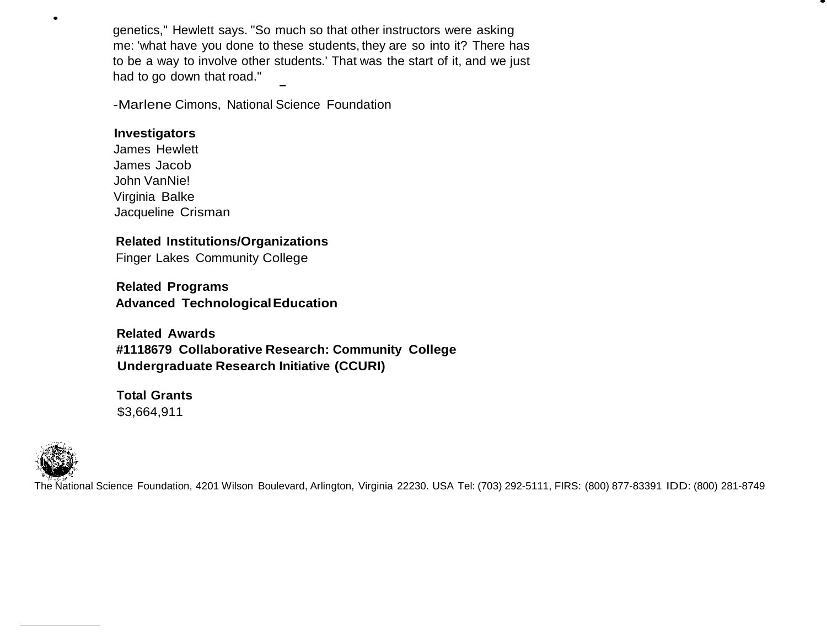genetics," Hewlett says. "So much so that other instructors were asking me: 'what have you done to these students, they are so into it? There has to be a way to involve other students.' That was the start of it, and we just had to go down that road."

•

-Marlene Cimons, National Science Foundation

#### **Investigators**

James Hewlett James Jacob John VanNie! Virginia Balke Jacqueline Crisman

# **Related Institutions/Organizations**

Finger Lakes Community College

**Related Programs Advanced TechnologicalEducation**

**Related Awards #1118679 Collaborative Research: Community College Undergraduate Research Initiative (CCURI)**

**Total Grants** \$3,664,911



•

The National Science Foundation, 4201 Wilson Boulevard, Arlington, Virginia 22230. USA Tel: (703) 292-5111, FIRS: (800) 877-83391 IDD: (800) 281-8749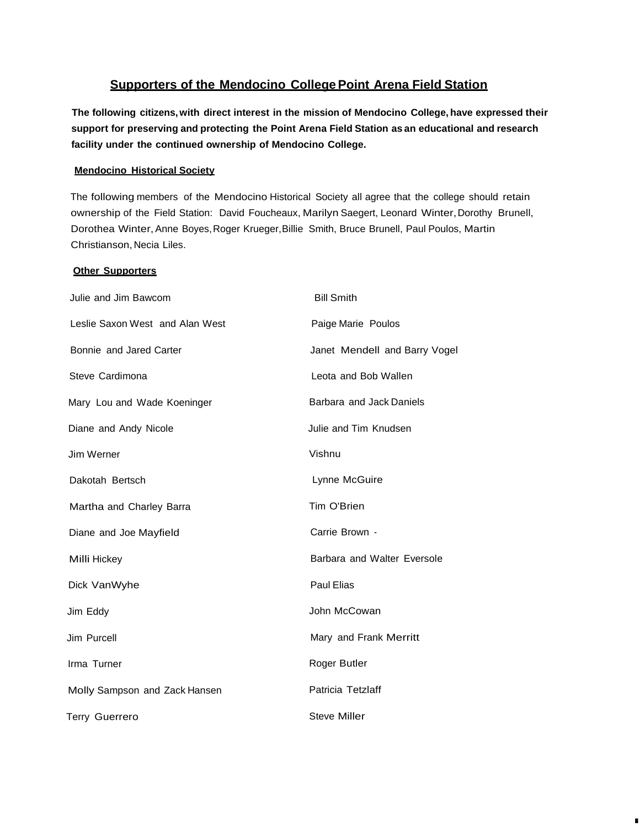#### **Supporters of the Mendocino College Point Arena Field Station**

**The following citizens,with direct interest in the mission of Mendocino College, have expressed their support for preserving and protecting the Point Arena Field Station as an educational and research facility under the continued ownership of Mendocino College.**

#### **Mendocino Historical Society**

The following members of the Mendocino Historical Society all agree that the college should retain ownership of the Field Station: David Foucheaux, Marilyn Saegert, Leonard Winter, Dorothy Brunell, Dorothea Winter, Anne Boyes, Roger Krueger, Billie Smith, Bruce Brunell, Paul Poulos, Martin Christianson, Necia Liles.

#### **Other Supporters**

| Julie and Jim Bawcom            | <b>Bill Smith</b>             |  |
|---------------------------------|-------------------------------|--|
| Leslie Saxon West and Alan West | Paige Marie Poulos            |  |
| Bonnie and Jared Carter         | Janet Mendell and Barry Vogel |  |
| Steve Cardimona                 | Leota and Bob Wallen          |  |
| Mary Lou and Wade Koeninger     | Barbara and Jack Daniels      |  |
| Diane and Andy Nicole           | Julie and Tim Knudsen         |  |
| Jim Werner                      | Vishnu                        |  |
| Dakotah Bertsch                 | Lynne McGuire                 |  |
| Martha and Charley Barra        | Tim O'Brien                   |  |
| Diane and Joe Mayfield          | Carrie Brown -                |  |
| Milli Hickey                    | Barbara and Walter Eversole   |  |
| Dick VanWyhe                    | Paul Elias                    |  |
| Jim Eddy                        | John McCowan                  |  |
| Jim Purcell                     | Mary and Frank Merritt        |  |
| Irma Turner                     | Roger Butler                  |  |
| Molly Sampson and Zack Hansen   | Patricia Tetzlaff             |  |
| <b>Terry Guerrero</b>           | <b>Steve Miller</b>           |  |

I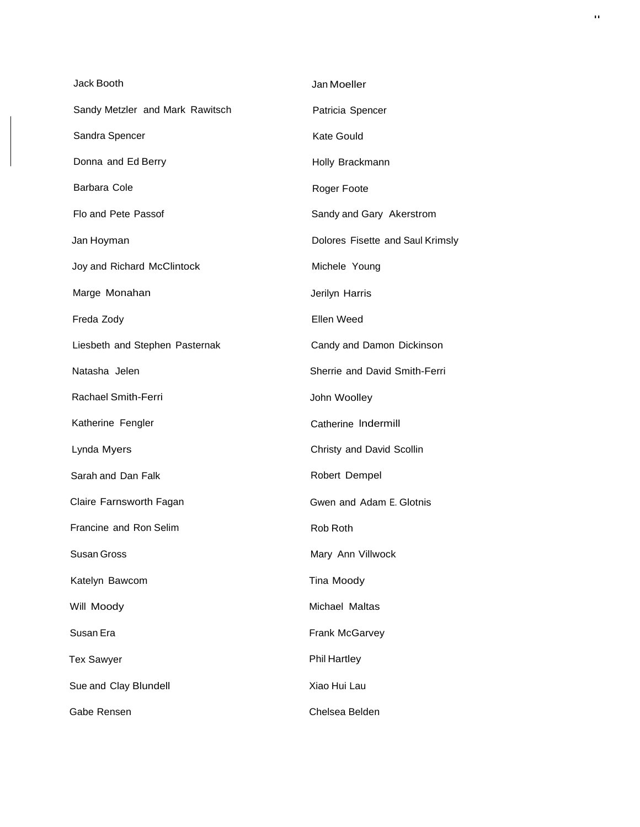| Jack Booth                      | Jan Moeller                      |
|---------------------------------|----------------------------------|
| Sandy Metzler and Mark Rawitsch | Patricia Spencer                 |
| Sandra Spencer                  | <b>Kate Gould</b>                |
| Donna and Ed Berry              | Holly Brackmann                  |
| Barbara Cole                    | Roger Foote                      |
| Flo and Pete Passof             | Sandy and Gary Akerstrom         |
| Jan Hoyman                      | Dolores Fisette and Saul Krimsly |
| Joy and Richard McClintock      | Michele Young                    |
| Marge Monahan                   | Jerilyn Harris                   |
| Freda Zody                      | Ellen Weed                       |
| Liesbeth and Stephen Pasternak  | Candy and Damon Dickinson        |
| Natasha Jelen                   | Sherrie and David Smith-Ferri    |
| <b>Rachael Smith-Ferri</b>      | John Woolley                     |
| Katherine Fengler               | Catherine Indermill              |
| Lynda Myers                     | Christy and David Scollin        |
| Sarah and Dan Falk              | Robert Dempel                    |
| Claire Farnsworth Fagan         | Gwen and Adam E. Glotnis         |
| Francine and Ron Selim          | Rob Roth                         |
| Susan Gross                     | Mary Ann Villwock                |
| Katelyn Bawcom                  | Tina Moody                       |
| Will Moody                      | Michael Maltas                   |
| Susan Era                       | <b>Frank McGarvey</b>            |
| <b>Tex Sawyer</b>               | <b>Phil Hartley</b>              |
| Sue and Clay Blundell           | Xiao Hui Lau                     |
| Gabe Rensen                     | Chelsea Belden                   |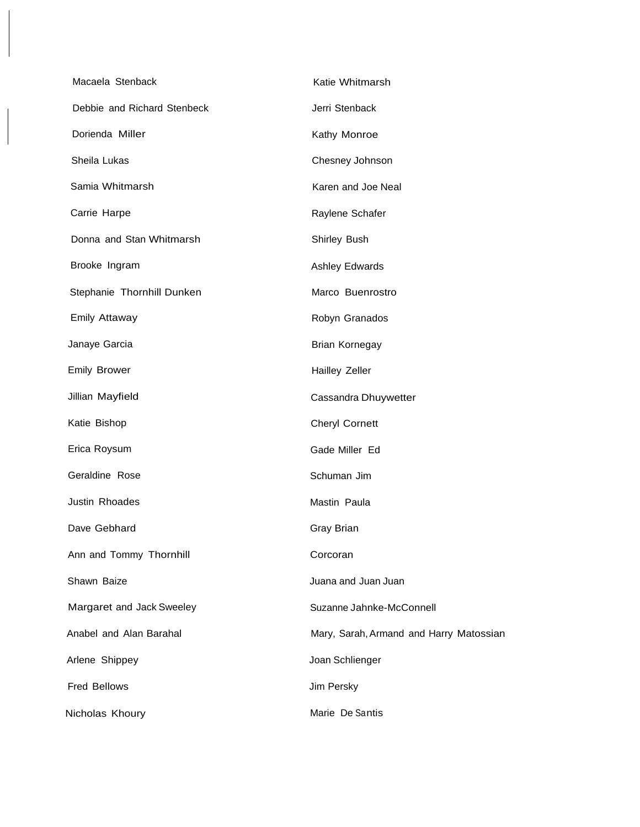| Macaela Stenback            | Katie Whitmarsh                         |
|-----------------------------|-----------------------------------------|
| Debbie and Richard Stenbeck | Jerri Stenback                          |
| Dorienda Miller             | Kathy Monroe                            |
| Sheila Lukas                | Chesney Johnson                         |
| Samia Whitmarsh             | Karen and Joe Neal                      |
| Carrie Harpe                | Raylene Schafer                         |
| Donna and Stan Whitmarsh    | Shirley Bush                            |
| Brooke Ingram               | <b>Ashley Edwards</b>                   |
| Stephanie Thornhill Dunken  | Marco Buenrostro                        |
| <b>Emily Attaway</b>        | Robyn Granados                          |
| Janaye Garcia               | Brian Kornegay                          |
| <b>Emily Brower</b>         | <b>Hailley Zeller</b>                   |
| Jillian Mayfield            | Cassandra Dhuywetter                    |
| Katie Bishop                | <b>Cheryl Cornett</b>                   |
| Erica Roysum                | Gade Miller Ed                          |
| Geraldine Rose              | Schuman Jim                             |
| Justin Rhoades              | Mastin Paula                            |
| Dave Gebhard                | Gray Brian                              |
| Ann and Tommy Thornhill     | Corcoran                                |
| Shawn Baize                 | Juana and Juan Juan                     |
| Margaret and Jack Sweeley   | Suzanne Jahnke-McConnell                |
| Anabel and Alan Barahal     | Mary, Sarah, Armand and Harry Matossian |
| Arlene Shippey              | Joan Schlienger                         |
| Fred Bellows                | Jim Persky                              |
| Nicholas Khoury             | Marie De Santis                         |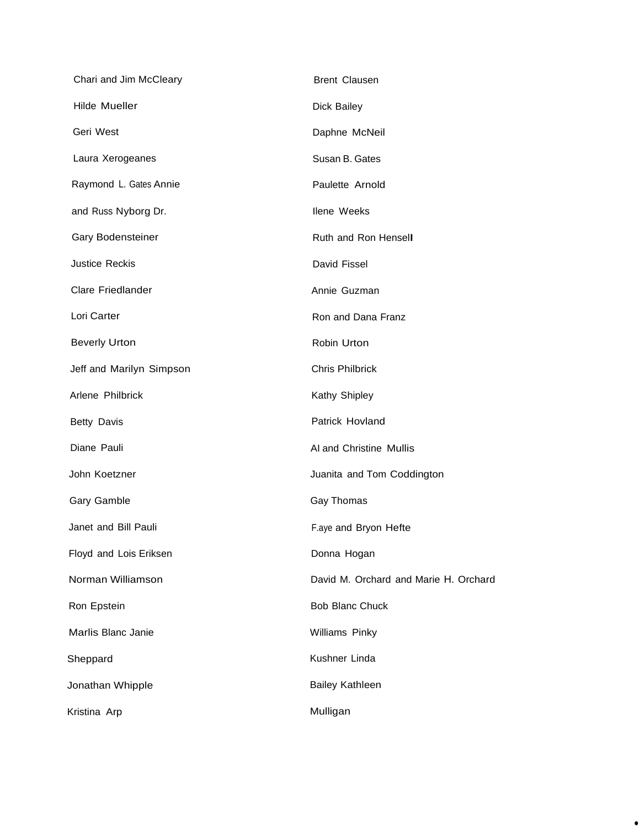| Chari and Jim McCleary   | <b>Brent Clausen</b>                  |
|--------------------------|---------------------------------------|
| <b>Hilde Mueller</b>     | Dick Bailey                           |
| Geri West                | Daphne McNeil                         |
| Laura Xerogeanes         | Susan B. Gates                        |
| Raymond L. Gates Annie   | Paulette Arnold                       |
| and Russ Nyborg Dr.      | <b>Ilene Weeks</b>                    |
| Gary Bodensteiner        | Ruth and Ron Hensell                  |
| <b>Justice Reckis</b>    | David Fissel                          |
| Clare Friedlander        | Annie Guzman                          |
| Lori Carter              | Ron and Dana Franz                    |
| <b>Beverly Urton</b>     | Robin Urton                           |
| Jeff and Marilyn Simpson | <b>Chris Philbrick</b>                |
| Arlene Philbrick         | Kathy Shipley                         |
| <b>Betty Davis</b>       | Patrick Hovland                       |
| Diane Pauli              | Al and Christine Mullis               |
| John Koetzner            | Juanita and Tom Coddington            |
| Gary Gamble              | Gay Thomas                            |
| Janet and Bill Pauli     | F.aye and Bryon Hefte                 |
| Floyd and Lois Eriksen   | Donna Hogan                           |
| Norman Williamson        | David M. Orchard and Marie H. Orchard |
| Ron Epstein              | <b>Bob Blanc Chuck</b>                |
| Marlis Blanc Janie       | Williams Pinky                        |
| Sheppard                 | Kushner Linda                         |
| Jonathan Whipple         | <b>Bailey Kathleen</b>                |
| Kristina Arp             | Mulligan                              |

•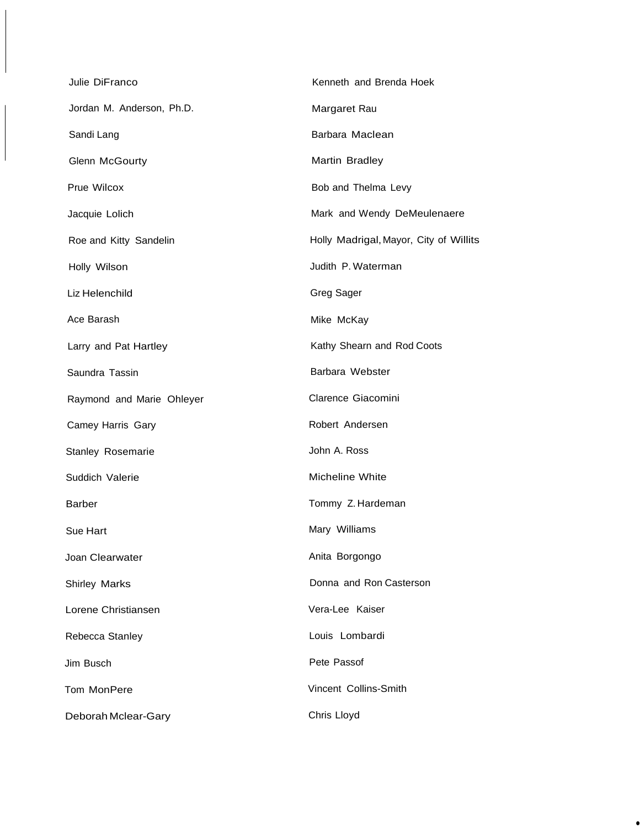| Julie DiFranco            | Kenneth and Brenda Hoek                |
|---------------------------|----------------------------------------|
| Jordan M. Anderson, Ph.D. | Margaret Rau                           |
| Sandi Lang                | Barbara Maclean                        |
| <b>Glenn McGourty</b>     | Martin Bradley                         |
| Prue Wilcox               | Bob and Thelma Levy                    |
| Jacquie Lolich            | Mark and Wendy DeMeulenaere            |
| Roe and Kitty Sandelin    | Holly Madrigal, Mayor, City of Willits |
| Holly Wilson              | Judith P. Waterman                     |
| Liz Helenchild            | Greg Sager                             |
| Ace Barash                | Mike McKay                             |
| Larry and Pat Hartley     | Kathy Shearn and Rod Coots             |
| Saundra Tassin            | Barbara Webster                        |
| Raymond and Marie Ohleyer | Clarence Giacomini                     |
| Camey Harris Gary         | Robert Andersen                        |
| Stanley Rosemarie         | John A. Ross                           |
| Suddich Valerie           | <b>Micheline White</b>                 |
| Barber                    | Tommy Z. Hardeman                      |
| Sue Hart                  | Mary Williams                          |
| Joan Clearwater           | Anita Borgongo                         |
| <b>Shirley Marks</b>      | Donna and Ron Casterson                |
| Lorene Christiansen       | Vera-Lee Kaiser                        |
| Rebecca Stanley           | Louis Lombardi                         |
| Jim Busch                 | Pete Passof                            |
| Tom MonPere               | Vincent Collins-Smith                  |
| Deborah Mclear-Gary       | Chris Lloyd                            |

•